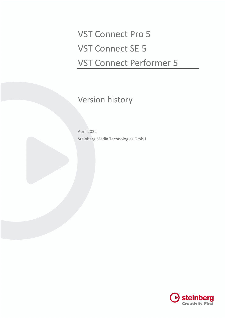VST Connect Pro 5 VST Connect SE 5 VST Connect Performer 5

Version history

April 2022 Steinberg Media Technologies GmbH

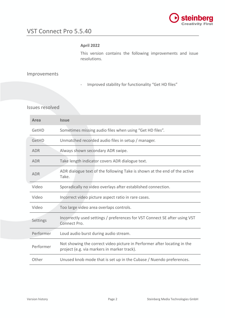

#### **April 2022**

This version contains the following improvements and issue resolutions.

# Improvements

- Improved stability for functionality "Get HD files"

| Area       | <b>Issue</b>                                                                                                            |
|------------|-------------------------------------------------------------------------------------------------------------------------|
| GetHD      | Sometimes missing audio files when using "Get HD files".                                                                |
| GetHD      | Unmatched recorded audio files in setup / manager.                                                                      |
| <b>ADR</b> | Always shown secondary ADR swipe.                                                                                       |
| <b>ADR</b> | Take length indicator covers ADR dialogue text.                                                                         |
| <b>ADR</b> | ADR dialogue text of the following Take is shown at the end of the active<br>Take.                                      |
| Video      | Sporadically no video overlays after established connection.                                                            |
| Video      | Incorrect video picture aspect ratio in rare cases.                                                                     |
| Video      | Too large video area overlaps controls.                                                                                 |
| Settings   | Incorrectly used settings / preferences for VST Connect SE after using VST<br>Connect Pro.                              |
| Performer  | Loud audio burst during audio stream.                                                                                   |
| Performer  | Not showing the correct video picture in Performer after locating in the<br>project (e.g. via markers in marker track). |
| Other      | Unused knob mode that is set up in the Cubase / Nuendo preferences.                                                     |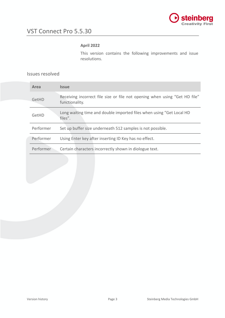

# **April 2022**

This version contains the following improvements and issue resolutions.

| Area      | <i><b>Issue</b></i>                                                                          |
|-----------|----------------------------------------------------------------------------------------------|
| GetHD     | Receiving incorrect file size or file not opening when using "Get HD file"<br>functionality. |
| GetHD     | Long waiting time and double imported files when using "Get Local HD<br>files".              |
| Performer | Set up buffer size underneath 512 samples is not possible.                                   |
| Performer | Using Enter key after inserting ID Key has no effect.                                        |
| Performer | Certain characters incorrectly shown in diologue text.                                       |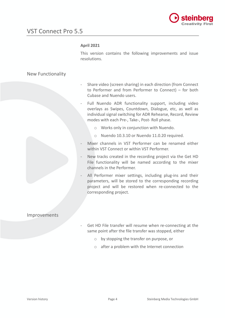

#### **April 2021**

This version contains the following improvements and issue resolutions.

# New Functionality

- Share video (screen sharing) in each direction (from Connect to Performer and from Performer to Connect) – for both Cubase and Nuendo users.
- Full Nuendo ADR functionality support, including video overlays as Swipes, Countdown, Dialogue, etc, as well as individual signal switching for ADR Rehearse, Record, Review modes with each Pre-, Take-, Post- Roll phase.
	- o Works only in conjunction with Nuendo.
	- o Nuendo 10.3.10 or Nuendo 11.0.20 required.
- Mixer channels in VST Performer can be renamed either within VST Connect or within VST Performer.
- New tracks created in the recording project via the Get HD File functionality will be named according to the mixer channels in the Performer.
- All Performer mixer settings, including plug-ins and their parameters, will be stored to the corresponding recording project and will be restored when re-connected to the corresponding project.

## Improvements

- Get HD File transfer will resume when re-connecting at the same point after the file transfer was stopped, either
	- o by stopping the transfer on purpose, or
	- o after a problem with the Internet connection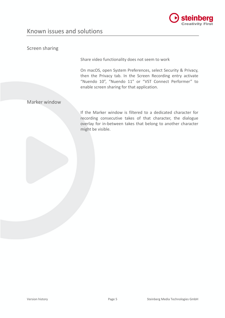

# Known issues and solutions

# Screen sharing

Share video functionality does not seem to work

On macOS, open System Preferences, select Security & Privacy, then the Privacy tab. In the Screen Recording entry activate "Nuendo 10", "Nuendo 11" or "VST Connect Performer" to enable screen sharing for that application.

# Marker window

If the Marker window is filtered to a dedicated character for recording consecutive takes of that character, the dialogue overlay for in-between takes that belong to another character might be visible.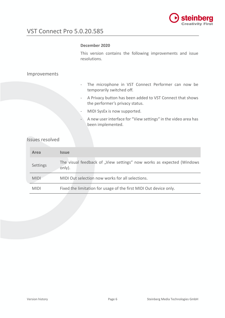

# VST Connect Pro 5.0.20.585

#### **December 2020**

This version contains the following improvements and issue resolutions.

### Improvements

- The microphone in VST Connect Performer can now be temporarily switched off.
- A Privacy button has been added to VST Connect that shows the performer's privacy status.
- MIDI SysEx is now supported.
- A new user interface for "View settings" in the video area has been implemented.

| Area        | <b>Issue</b>                                                                    |
|-------------|---------------------------------------------------------------------------------|
| Settings    | The visual feedback of "View settings" now works as expected (Windows<br>only). |
| <b>MIDI</b> | MIDI Out selection now works for all selections.                                |
| <b>MIDI</b> | Fixed the limitation for usage of the first MIDI Out device only.               |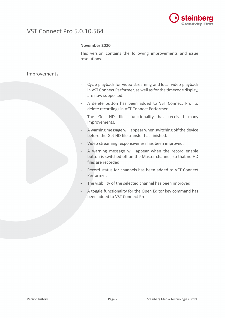

#### **November 2020**

This version contains the following improvements and issue resolutions.

# Improvements

- Cycle playback for video streaming and local video playback in VST Connect Performer, as well as for the timecode display, are now supported.
- A delete button has been added to VST Connect Pro, to delete recordings in VST Connect Performer.
- The Get HD files functionality has received many improvements.
- A warning message will appear when switching off the device before the Get HD file transfer has finished.
- Video streaming responsiveness has been improved.
- A warning message will appear when the record enable button is switched off on the Master channel, so that no HD files are recorded.
- Record status for channels has been added to VST Connect Performer.
- The visibility of the selected channel has been improved.
- A toggle functionality for the Open Editor key command has been added to VST Connect Pro.